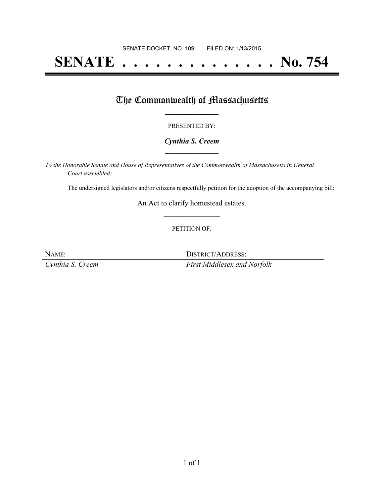# **SENATE . . . . . . . . . . . . . . No. 754**

## The Commonwealth of Massachusetts

#### PRESENTED BY:

#### *Cynthia S. Creem* **\_\_\_\_\_\_\_\_\_\_\_\_\_\_\_\_\_**

*To the Honorable Senate and House of Representatives of the Commonwealth of Massachusetts in General Court assembled:*

The undersigned legislators and/or citizens respectfully petition for the adoption of the accompanying bill:

An Act to clarify homestead estates. **\_\_\_\_\_\_\_\_\_\_\_\_\_\_\_**

#### PETITION OF:

NAME: DISTRICT/ADDRESS: *Cynthia S. Creem First Middlesex and Norfolk*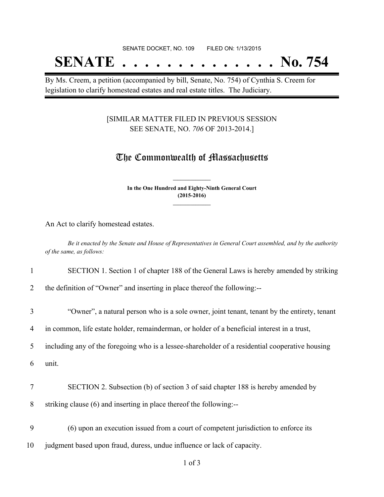## SENATE DOCKET, NO. 109 FILED ON: 1/13/2015 **SENATE . . . . . . . . . . . . . . No. 754**

By Ms. Creem, a petition (accompanied by bill, Senate, No. 754) of Cynthia S. Creem for legislation to clarify homestead estates and real estate titles. The Judiciary.

### [SIMILAR MATTER FILED IN PREVIOUS SESSION SEE SENATE, NO. *706* OF 2013-2014.]

## The Commonwealth of Massachusetts

**In the One Hundred and Eighty-Ninth General Court (2015-2016) \_\_\_\_\_\_\_\_\_\_\_\_\_\_\_**

**\_\_\_\_\_\_\_\_\_\_\_\_\_\_\_**

An Act to clarify homestead estates.

Be it enacted by the Senate and House of Representatives in General Court assembled, and by the authority *of the same, as follows:*

#### 1 SECTION 1. Section 1 of chapter 188 of the General Laws is hereby amended by striking

2 the definition of "Owner" and inserting in place thereof the following:--

3 "Owner", a natural person who is a sole owner, joint tenant, tenant by the entirety, tenant

4 in common, life estate holder, remainderman, or holder of a beneficial interest in a trust,

5 including any of the foregoing who is a lessee-shareholder of a residential cooperative housing

6 unit.

7 SECTION 2. Subsection (b) of section 3 of said chapter 188 is hereby amended by

8 striking clause (6) and inserting in place thereof the following:--

9 (6) upon an execution issued from a court of competent jurisdiction to enforce its 10 judgment based upon fraud, duress, undue influence or lack of capacity.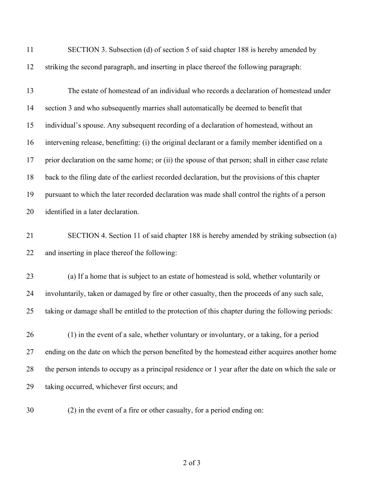| 11 | SECTION 3. Subsection (d) of section 5 of said chapter 188 is hereby amended by                     |
|----|-----------------------------------------------------------------------------------------------------|
| 12 | striking the second paragraph, and inserting in place thereof the following paragraph:              |
| 13 | The estate of homestead of an individual who records a declaration of homestead under               |
| 14 | section 3 and who subsequently marries shall automatically be deemed to benefit that                |
| 15 | individual's spouse. Any subsequent recording of a declaration of homestead, without an             |
| 16 | intervening release, benefitting: (i) the original declarant or a family member identified on a     |
| 17 | prior declaration on the same home; or (ii) the spouse of that person; shall in either case relate  |
| 18 | back to the filing date of the earliest recorded declaration, but the provisions of this chapter    |
| 19 | pursuant to which the later recorded declaration was made shall control the rights of a person      |
| 20 | identified in a later declaration.                                                                  |
| 21 | SECTION 4. Section 11 of said chapter 188 is hereby amended by striking subsection (a)              |
| 22 | and inserting in place thereof the following:                                                       |
| 23 | (a) If a home that is subject to an estate of homestead is sold, whether voluntarily or             |
| 24 | involuntarily, taken or damaged by fire or other casualty, then the proceeds of any such sale,      |
| 25 | taking or damage shall be entitled to the protection of this chapter during the following periods:  |
| 26 | (1) in the event of a sale, whether voluntary or involuntary, or a taking, for a period             |
| 27 | ending on the date on which the person benefited by the homestead either acquires another home      |
| 28 | the person intends to occupy as a principal residence or 1 year after the date on which the sale or |
| 29 | taking occurred, whichever first occurs; and                                                        |
| 30 | (2) in the event of a fire or other casualty, for a period ending on:                               |

of 3